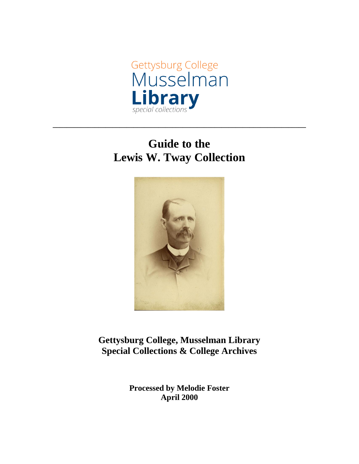

# **Guide to the Lewis W. Tway Collection**

**\_\_\_\_\_\_\_\_\_\_\_\_\_\_\_\_\_\_\_\_\_\_\_\_\_\_\_\_\_\_\_\_\_\_\_\_\_\_\_\_\_\_\_\_\_\_\_\_\_\_\_\_\_\_\_\_\_\_\_\_\_\_\_\_\_\_\_\_\_\_\_\_**



**Gettysburg College, Musselman Library Special Collections & College Archives**

> **Processed by Melodie Foster April 2000**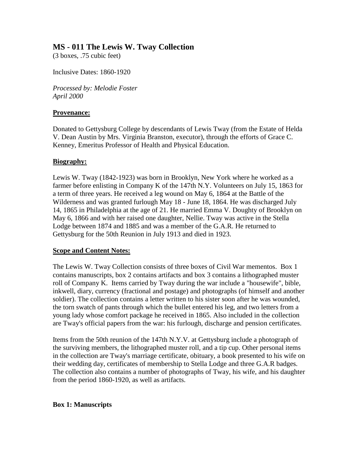## **MS - 011 The Lewis W. Tway Collection**

(3 boxes, .75 cubic feet)

Inclusive Dates: 1860-1920

*Processed by: Melodie Foster April 2000*

#### **Provenance:**

Donated to Gettysburg College by descendants of Lewis Tway (from the Estate of Helda V. Dean Austin by Mrs. Virginia Branston, executor), through the efforts of Grace C. Kenney, Emeritus Professor of Health and Physical Education.

#### **Biography:**

Lewis W. Tway (1842-1923) was born in Brooklyn, New York where he worked as a farmer before enlisting in Company K of the 147th N.Y. Volunteers on July 15, 1863 for a term of three years. He received a leg wound on May 6, 1864 at the Battle of the Wilderness and was granted furlough May 18 - June 18, 1864. He was discharged July 14, 1865 in Philadelphia at the age of 21. He married Emma V. Doughty of Brooklyn on May 6, 1866 and with her raised one daughter, Nellie. Tway was active in the Stella Lodge between 1874 and 1885 and was a member of the G.A.R. He returned to Gettysburg for the 50th Reunion in July 1913 and died in 1923.

## **Scope and Content Notes:**

The Lewis W. Tway Collection consists of three boxes of Civil War mementos. Box 1 contains manuscripts, box 2 contains artifacts and box 3 contains a lithographed muster roll of Company K. Items carried by Tway during the war include a "housewife", bible, inkwell, diary, currency (fractional and postage) and photographs (of himself and another soldier). The collection contains a letter written to his sister soon after he was wounded, the torn swatch of pants through which the bullet entered his leg, and two letters from a young lady whose comfort package he received in 1865. Also included in the collection are Tway's official papers from the war: his furlough, discharge and pension certificates.

Items from the 50th reunion of the 147th N.Y.V. at Gettysburg include a photograph of the surviving members, the lithographed muster roll, and a tip cup. Other personal items in the collection are Tway's marriage certificate, obituary, a book presented to his wife on their wedding day, certificates of membership to Stella Lodge and three G.A.R badges. The collection also contains a number of photographs of Tway, his wife, and his daughter from the period 1860-1920, as well as artifacts.

## **Box 1: Manuscripts**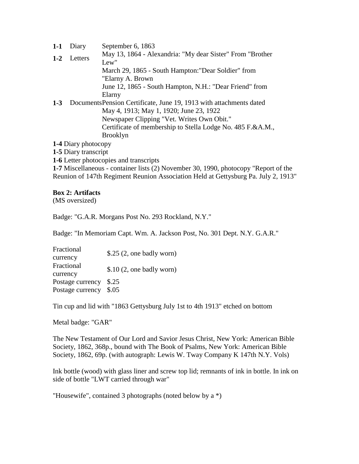| $1-1$                | Diary   | September 6, 1863                                                   |
|----------------------|---------|---------------------------------------------------------------------|
| $1 - 2$              | Letters | May 13, 1864 - Alexandria: "My dear Sister" From "Brother<br>Lew"   |
|                      |         | March 29, 1865 - South Hampton: "Dear Soldier" from                 |
|                      |         | "Elarny A. Brown                                                    |
|                      |         | June 12, 1865 - South Hampton, N.H.: "Dear Friend" from             |
|                      |         | Elarny                                                              |
| $1 - 3$              |         | Documents Pension Certificate, June 19, 1913 with attachments dated |
|                      |         | May 4, 1913; May 1, 1920; June 23, 1922                             |
|                      |         | Newspaper Clipping "Vet. Writes Own Obit."                          |
|                      |         | Certificate of membership to Stella Lodge No. 485 F.&A.M.,          |
|                      |         | <b>Brooklyn</b>                                                     |
| 1-4 Diary photocopy  |         |                                                                     |
| 1-5 Diary transcript |         |                                                                     |

**1-6** Letter photocopies and transcripts

**1-7** Miscellaneous - container lists (2) November 30, 1990, photocopy "Report of the Reunion of 147th Regiment Reunion Association Held at Gettysburg Pa. July 2, 1913"

#### **Box 2: Artifacts**

(MS oversized)

Badge: "G.A.R. Morgans Post No. 293 Rockland, N.Y."

Badge: "In Memoriam Capt. Wm. A. Jackson Post, No. 301 Dept. N.Y. G.A.R."

Fractional currency \$.25 (2, one badly worn) Fractional currency \$.10 (2, one badly worn) Postage currency \$.25 Postage currency \$.05

Tin cup and lid with "1863 Gettysburg July 1st to 4th 1913" etched on bottom

Metal badge: "GAR"

The New Testament of Our Lord and Savior Jesus Christ, New York: American Bible Society, 1862, 368p., bound with The Book of Psalms, New York: American Bible Society, 1862, 69p. (with autograph: Lewis W. Tway Company K 147th N.Y. Vols)

Ink bottle (wood) with glass liner and screw top lid; remnants of ink in bottle. In ink on side of bottle "LWT carried through war"

"Housewife", contained 3 photographs (noted below by a \*)